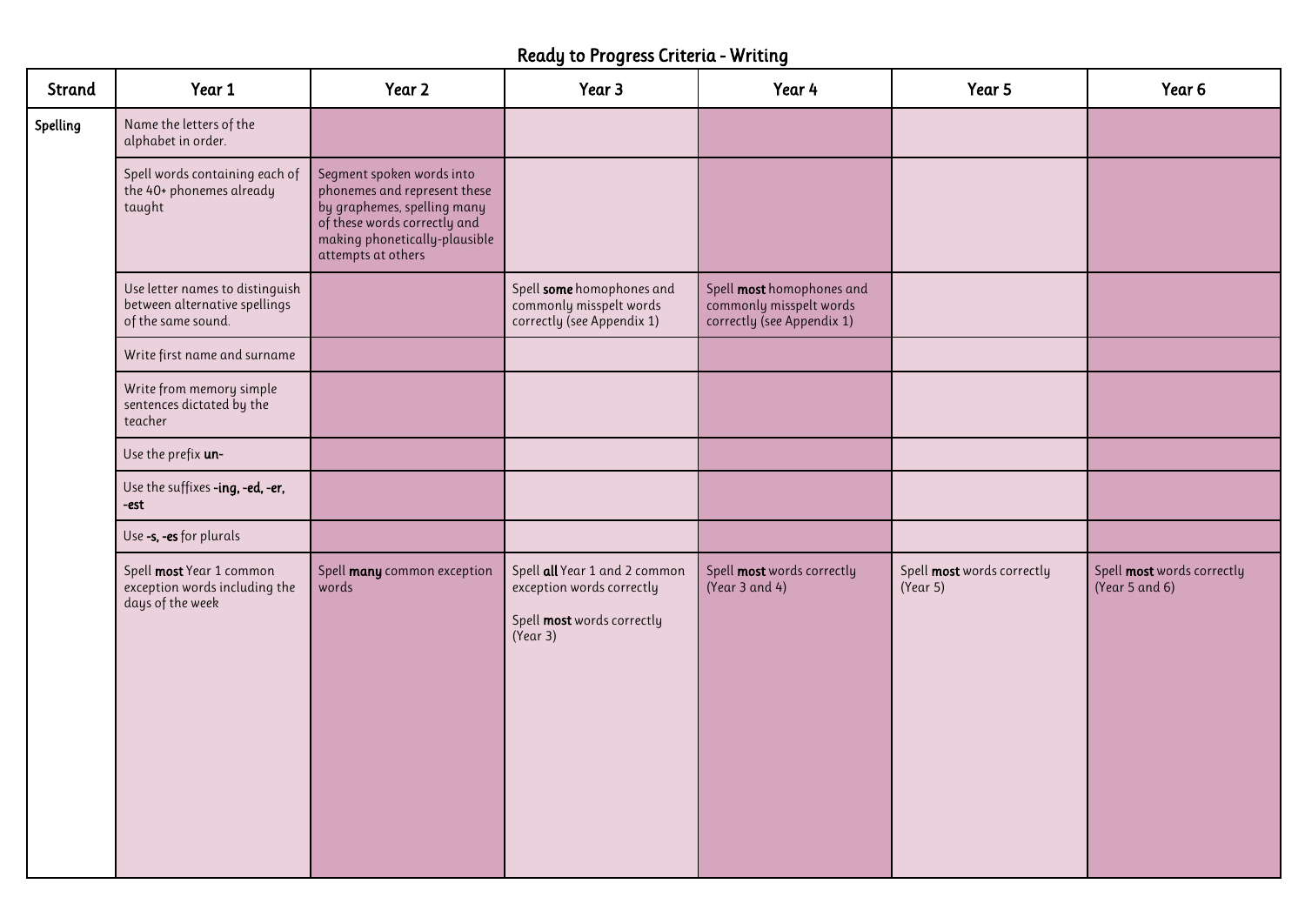## Ready to Progress Criteria - Writing

| Strand   | Year 1                                                                                 | Year 2                                                                                                                                                                          | Year 3                                                                                               | Year 4                                                                             | Year 5                                 | Year 6                                       |
|----------|----------------------------------------------------------------------------------------|---------------------------------------------------------------------------------------------------------------------------------------------------------------------------------|------------------------------------------------------------------------------------------------------|------------------------------------------------------------------------------------|----------------------------------------|----------------------------------------------|
| Spelling | Name the letters of the<br>alphabet in order.                                          |                                                                                                                                                                                 |                                                                                                      |                                                                                    |                                        |                                              |
|          | Spell words containing each of<br>the 40+ phonemes already<br>taught                   | Segment spoken words into<br>phonemes and represent these<br>by graphemes, spelling many<br>of these words correctly and<br>making phonetically-plausible<br>attempts at others |                                                                                                      |                                                                                    |                                        |                                              |
|          | Use letter names to distinguish<br>between alternative spellings<br>of the same sound. |                                                                                                                                                                                 | Spell some homophones and<br>commonly misspelt words<br>correctly (see Appendix 1)                   | Spell most homophones and<br>commonly misspelt words<br>correctly (see Appendix 1) |                                        |                                              |
|          | Write first name and surname                                                           |                                                                                                                                                                                 |                                                                                                      |                                                                                    |                                        |                                              |
|          | Write from memory simple<br>sentences dictated by the<br>teacher                       |                                                                                                                                                                                 |                                                                                                      |                                                                                    |                                        |                                              |
|          | Use the prefix un-                                                                     |                                                                                                                                                                                 |                                                                                                      |                                                                                    |                                        |                                              |
|          | Use the suffixes -ing, -ed, -er,<br>-est                                               |                                                                                                                                                                                 |                                                                                                      |                                                                                    |                                        |                                              |
|          | Use -s, -es for plurals                                                                |                                                                                                                                                                                 |                                                                                                      |                                                                                    |                                        |                                              |
|          | Spell most Year 1 common<br>exception words including the<br>days of the week          | Spell many common exception<br>words                                                                                                                                            | Spell all Year 1 and 2 common<br>exception words correctly<br>Spell most words correctly<br>(Year 3) | Spell most words correctly<br>(Year 3 and 4)                                       | Spell most words correctly<br>(Year 5) | Spell most words correctly<br>(Year 5 and 6) |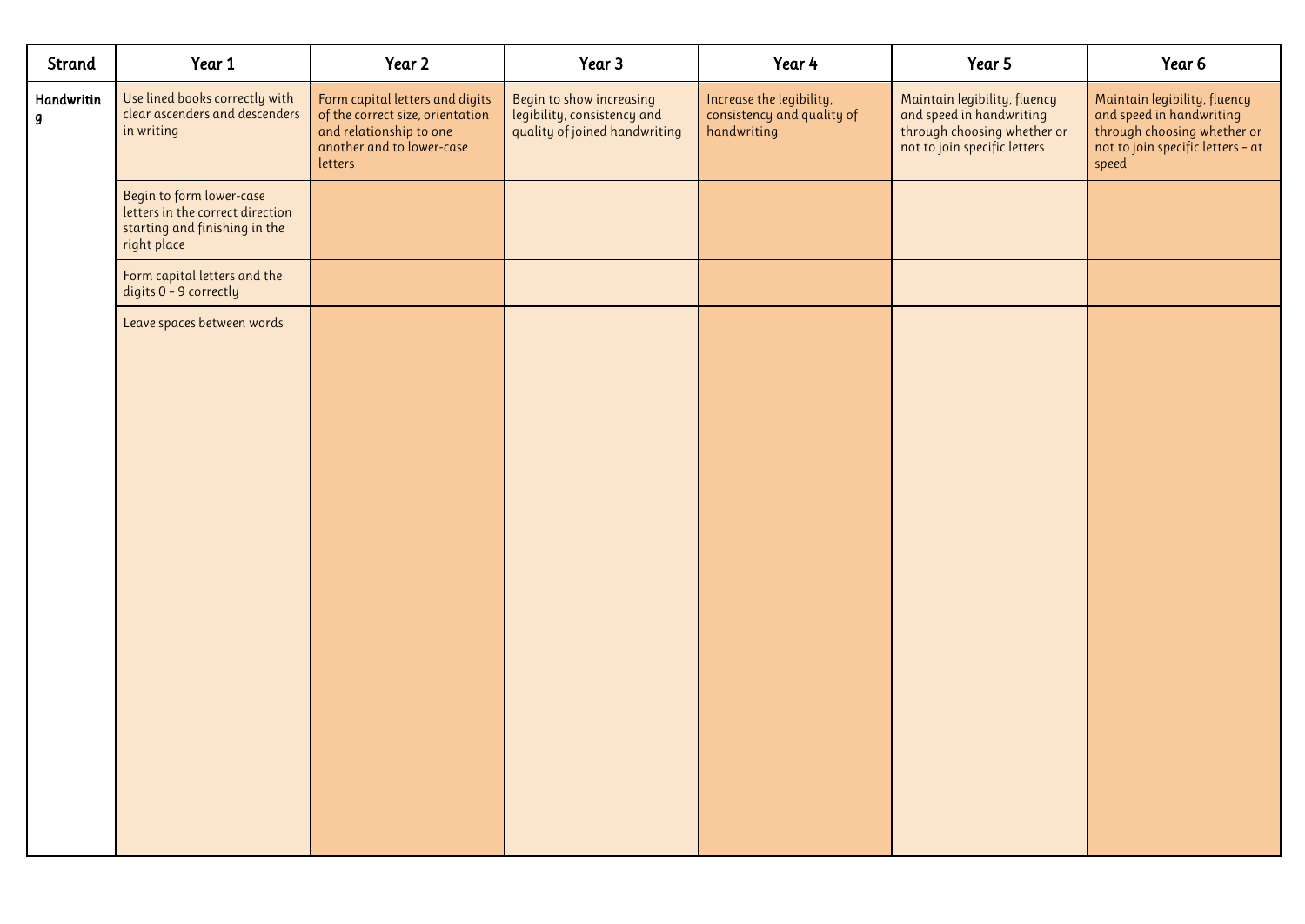| Strand          | Year 1                                                                                                       | Year 2                                                                                                                                 | Year 3                                                                                   | Year 4                                                                | Year 5                                                                                                                  | Year 6                                                                                                                                |
|-----------------|--------------------------------------------------------------------------------------------------------------|----------------------------------------------------------------------------------------------------------------------------------------|------------------------------------------------------------------------------------------|-----------------------------------------------------------------------|-------------------------------------------------------------------------------------------------------------------------|---------------------------------------------------------------------------------------------------------------------------------------|
| Handwritin<br>g | Use lined books correctly with<br>clear ascenders and descenders<br>in writing                               | Form capital letters and digits<br>of the correct size, orientation<br>and relationship to one<br>another and to lower-case<br>letters | Begin to show increasing<br>legibility, consistency and<br>quality of joined handwriting | Increase the legibility,<br>consistency and quality of<br>handwriting | Maintain legibility, fluency<br>and speed in handwriting<br>through choosing whether or<br>not to join specific letters | Maintain legibility, fluency<br>and speed in handwriting<br>through choosing whether or<br>not to join specific letters - at<br>speed |
|                 | Begin to form lower-case<br>letters in the correct direction<br>starting and finishing in the<br>right place |                                                                                                                                        |                                                                                          |                                                                       |                                                                                                                         |                                                                                                                                       |
|                 | Form capital letters and the<br>digits 0 - 9 correctly                                                       |                                                                                                                                        |                                                                                          |                                                                       |                                                                                                                         |                                                                                                                                       |
|                 | Leave spaces between words                                                                                   |                                                                                                                                        |                                                                                          |                                                                       |                                                                                                                         |                                                                                                                                       |
|                 |                                                                                                              |                                                                                                                                        |                                                                                          |                                                                       |                                                                                                                         |                                                                                                                                       |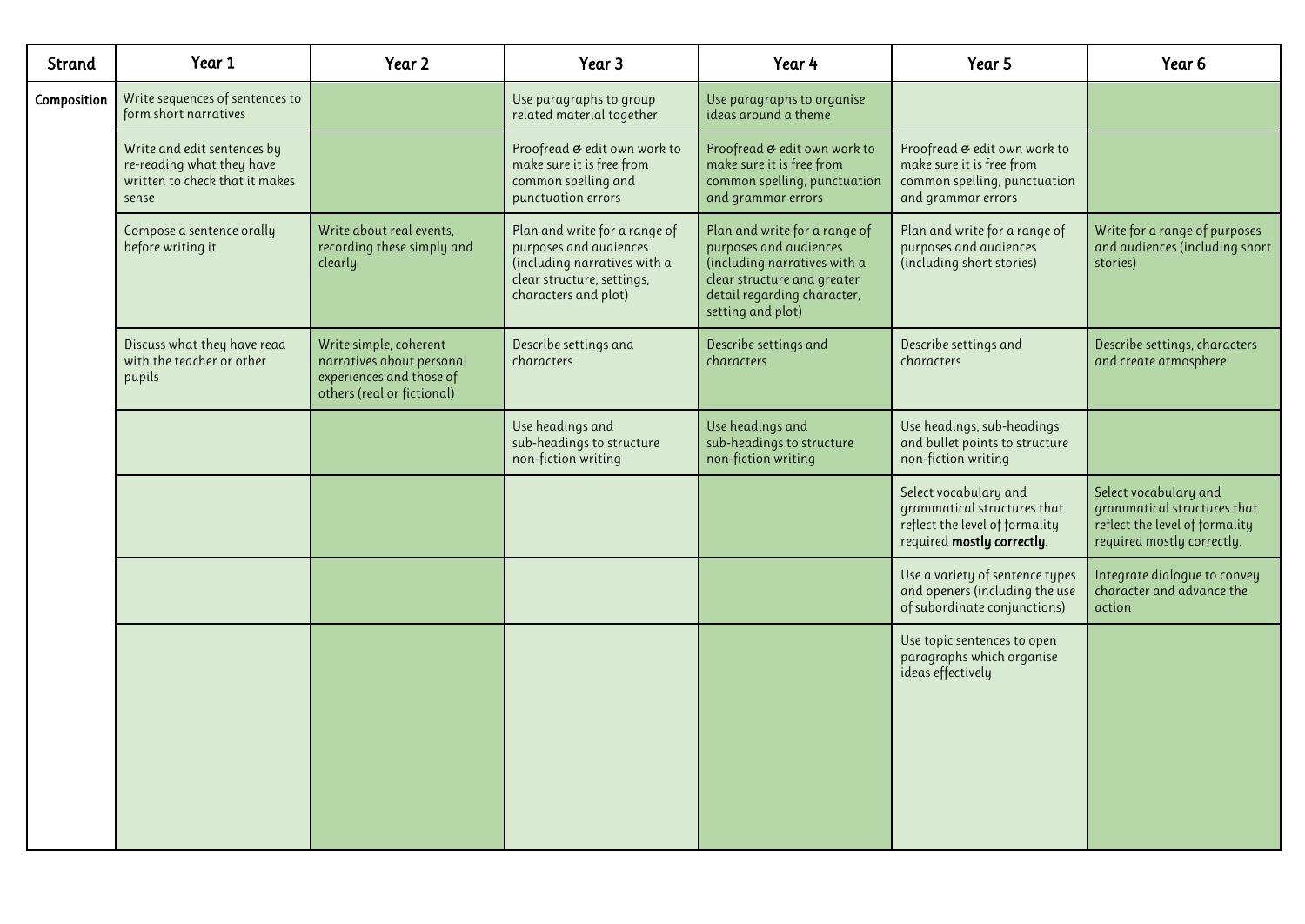| Strand      | Year 1                                                                                              | Year 2                                                                                                        | Year 3                                                                                                                                        | Year 4                                                                                                                                                                     | Year 5                                                                                                               | Year <sub>6</sub>                                                                                                    |
|-------------|-----------------------------------------------------------------------------------------------------|---------------------------------------------------------------------------------------------------------------|-----------------------------------------------------------------------------------------------------------------------------------------------|----------------------------------------------------------------------------------------------------------------------------------------------------------------------------|----------------------------------------------------------------------------------------------------------------------|----------------------------------------------------------------------------------------------------------------------|
| Composition | Write sequences of sentences to<br>form short narratives                                            |                                                                                                               | Use paragraphs to group<br>related material together                                                                                          | Use paragraphs to organise<br>ideas around a theme                                                                                                                         |                                                                                                                      |                                                                                                                      |
|             | Write and edit sentences by<br>re-reading what they have<br>written to check that it makes<br>sense |                                                                                                               | Proofread & edit own work to<br>make sure it is free from<br>common spelling and<br>punctuation errors                                        | Proofread & edit own work to<br>make sure it is free from<br>common spelling, punctuation<br>and grammar errors                                                            | Proofread & edit own work to<br>make sure it is free from<br>common spelling, punctuation<br>and grammar errors      |                                                                                                                      |
|             | Compose a sentence orally<br>before writing it                                                      | Write about real events,<br>recording these simply and<br>clearly                                             | Plan and write for a range of<br>purposes and audiences<br>(including narratives with a<br>clear structure, settings,<br>characters and plot) | Plan and write for a range of<br>purposes and audiences<br>(including narratives with a<br>clear structure and greater<br>detail regarding character,<br>setting and plot) | Plan and write for a range of<br>purposes and audiences<br>(including short stories)                                 | Write for a range of purposes<br>and audiences (including short<br>stories)                                          |
|             | Discuss what they have read<br>with the teacher or other<br>pupils                                  | Write simple, coherent<br>narratives about personal<br>experiences and those of<br>others (real or fictional) | Describe settings and<br>characters                                                                                                           | Describe settings and<br>characters                                                                                                                                        | Describe settings and<br>characters                                                                                  | Describe settings, characters<br>and create atmosphere                                                               |
|             |                                                                                                     |                                                                                                               | Use headings and<br>sub-headings to structure<br>non-fiction writing                                                                          | Use headings and<br>sub-headings to structure<br>non-fiction writing                                                                                                       | Use headings, sub-headings<br>and bullet points to structure<br>non-fiction writing                                  |                                                                                                                      |
|             |                                                                                                     |                                                                                                               |                                                                                                                                               |                                                                                                                                                                            | Select vocabulary and<br>grammatical structures that<br>reflect the level of formality<br>required mostly correctly. | Select vocabulary and<br>grammatical structures that<br>reflect the level of formality<br>required mostly correctly. |
|             |                                                                                                     |                                                                                                               |                                                                                                                                               |                                                                                                                                                                            | Use a variety of sentence types<br>and openers (including the use<br>of subordinate conjunctions)                    | Integrate dialogue to convey<br>character and advance the<br>action                                                  |
|             |                                                                                                     |                                                                                                               |                                                                                                                                               |                                                                                                                                                                            | Use topic sentences to open<br>paragraphs which organise<br>ideas effectively                                        |                                                                                                                      |
|             |                                                                                                     |                                                                                                               |                                                                                                                                               |                                                                                                                                                                            |                                                                                                                      |                                                                                                                      |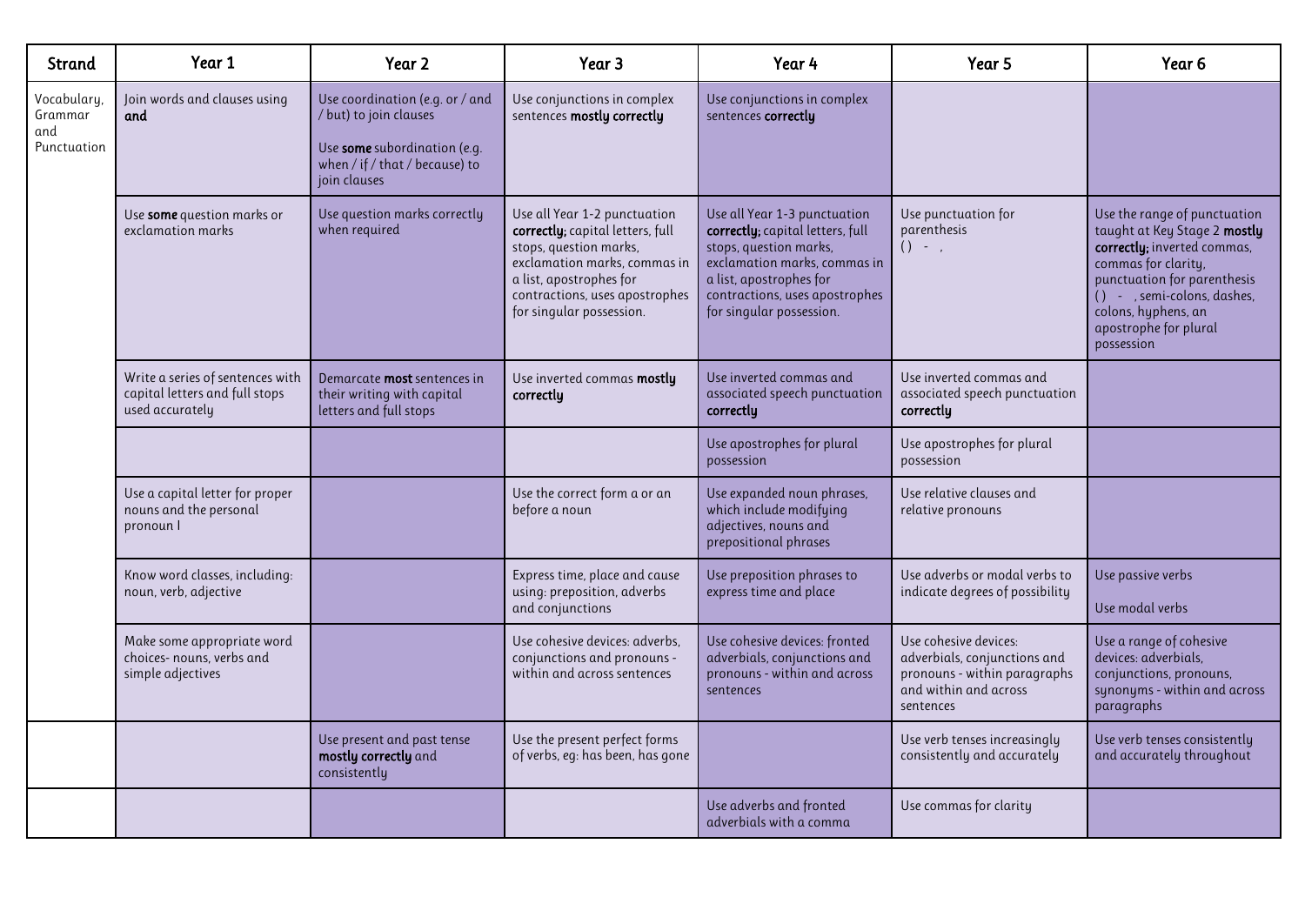| Strand                                       | Year 1                                                                                | Year 2                                                                                                                                      | Year 3                                                                                                                                                                                                              | Year 4                                                                                                                                                                                                              | Year 5                                                                                                                      | Year <sub>6</sub>                                                                                                                                                                                                                              |
|----------------------------------------------|---------------------------------------------------------------------------------------|---------------------------------------------------------------------------------------------------------------------------------------------|---------------------------------------------------------------------------------------------------------------------------------------------------------------------------------------------------------------------|---------------------------------------------------------------------------------------------------------------------------------------------------------------------------------------------------------------------|-----------------------------------------------------------------------------------------------------------------------------|------------------------------------------------------------------------------------------------------------------------------------------------------------------------------------------------------------------------------------------------|
| Vocabulary,<br>Grammar<br>and<br>Punctuation | Join words and clauses using<br>and                                                   | Use coordination (e.g. or / and<br>/ but) to join clauses<br>Use some subordination (e.g.<br>when / if / that / because) to<br>join clauses | Use conjunctions in complex<br>sentences mostly correctly                                                                                                                                                           | Use conjunctions in complex<br>sentences correctly                                                                                                                                                                  |                                                                                                                             |                                                                                                                                                                                                                                                |
|                                              | Use some question marks or<br>exclamation marks                                       | Use question marks correctly<br>when required                                                                                               | Use all Year 1-2 punctuation<br>correctly; capital letters, full<br>stops, question marks,<br>exclamation marks, commas in<br>a list, apostrophes for<br>contractions, uses apostrophes<br>for singular possession. | Use all Year 1-3 punctuation<br>correctly; capital letters, full<br>stops, question marks,<br>exclamation marks, commas in<br>a list, apostrophes for<br>contractions, uses apostrophes<br>for singular possession. | Use punctuation for<br>parenthesis<br>$() -$ ,                                                                              | Use the range of punctuation<br>taught at Key Stage 2 mostly<br>correctly; inverted commas,<br>commas for clarity,<br>punctuation for parenthesis<br>() - , semi-colons, dashes,<br>colons, hyphens, an<br>apostrophe for plural<br>possession |
|                                              | Write a series of sentences with<br>capital letters and full stops<br>used accurately | Demarcate <b>most</b> sentences in<br>their writing with capital<br>letters and full stops                                                  | Use inverted commas mostly<br>correctly                                                                                                                                                                             | Use inverted commas and<br>associated speech punctuation<br>correctly                                                                                                                                               | Use inverted commas and<br>associated speech punctuation<br>correctly                                                       |                                                                                                                                                                                                                                                |
|                                              |                                                                                       |                                                                                                                                             |                                                                                                                                                                                                                     | Use apostrophes for plural<br>possession                                                                                                                                                                            | Use apostrophes for plural<br>possession                                                                                    |                                                                                                                                                                                                                                                |
|                                              | Use a capital letter for proper<br>nouns and the personal<br>pronoun I                |                                                                                                                                             | Use the correct form a or an<br>before a noun                                                                                                                                                                       | Use expanded noun phrases,<br>which include modifying<br>adjectives, nouns and<br>prepositional phrases                                                                                                             | Use relative clauses and<br>relative pronouns                                                                               |                                                                                                                                                                                                                                                |
|                                              | Know word classes, including:<br>noun, verb, adjective                                |                                                                                                                                             | Express time, place and cause<br>using: preposition, adverbs<br>and conjunctions                                                                                                                                    | Use preposition phrases to<br>express time and place                                                                                                                                                                | Use adverbs or modal verbs to<br>indicate degrees of possibility                                                            | Use passive verbs<br>Use modal verbs                                                                                                                                                                                                           |
|                                              | Make some appropriate word<br>choices- nouns, verbs and<br>simple adjectives          |                                                                                                                                             | Use cohesive devices: adverbs,<br>conjunctions and pronouns -<br>within and across sentences                                                                                                                        | Use cohesive devices: fronted<br>adverbials, conjunctions and<br>pronouns - within and across<br>sentences                                                                                                          | Use cohesive devices:<br>adverbials, conjunctions and<br>pronouns - within paragraphs<br>and within and across<br>sentences | Use a range of cohesive<br>devices: adverbials.<br>conjunctions, pronouns,<br>synonyms - within and across<br>paragraphs                                                                                                                       |
|                                              |                                                                                       | Use present and past tense<br>mostly correctly and<br>consistently                                                                          | Use the present perfect forms<br>of verbs, eg: has been, has gone                                                                                                                                                   |                                                                                                                                                                                                                     | Use verb tenses increasingly<br>consistently and accurately                                                                 | Use verb tenses consistently<br>and accurately throughout                                                                                                                                                                                      |
|                                              |                                                                                       |                                                                                                                                             |                                                                                                                                                                                                                     | Use adverbs and fronted<br>adverbials with a comma                                                                                                                                                                  | Use commas for clarity                                                                                                      |                                                                                                                                                                                                                                                |